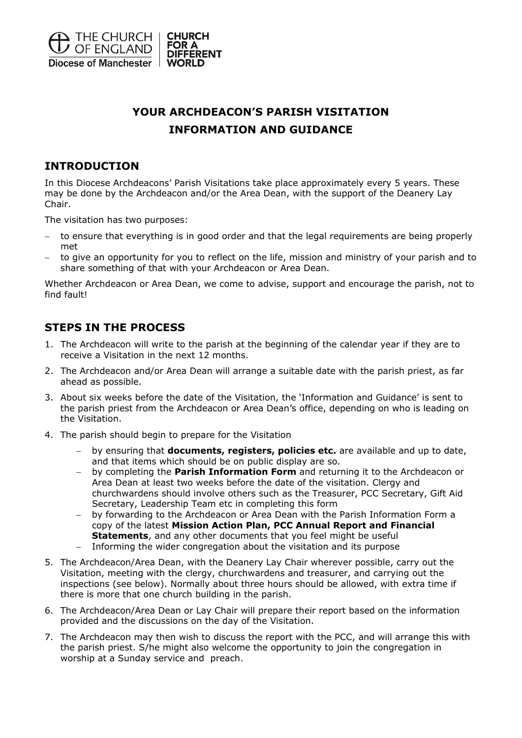

# **YOUR ARCHDEACON'S PARISH VISITATION INFORMATION AND GUIDANCE**

# **INTRODUCTION**

In this Diocese Archdeacons' Parish Visitations take place approximately every 5 years. These may be done by the Archdeacon and/or the Area Dean, with the support of the Deanery Lay Chair.

The visitation has two purposes:

- to ensure that everything is in good order and that the legal requirements are being properly met
- to give an opportunity for you to reflect on the life, mission and ministry of your parish and to share something of that with your Archdeacon or Area Dean.

Whether Archdeacon or Area Dean, we come to advise, support and encourage the parish, not to find fault!

# **STEPS IN THE PROCESS**

- 1. The Archdeacon will write to the parish at the beginning of the calendar year if they are to receive a Visitation in the next 12 months.
- 2. The Archdeacon and/or Area Dean will arrange a suitable date with the parish priest, as far ahead as possible.
- 3. About six weeks before the date of the Visitation, the 'Information and Guidance' is sent to the parish priest from the Archdeacon or Area Dean's office, depending on who is leading on the Visitation.
- 4. The parish should begin to prepare for the Visitation
	- − by ensuring that **documents, registers, policies etc.** are available and up to date, and that items which should be on public display are so.
	- − by completing the **Parish Information Form** and returning it to the Archdeacon or Area Dean at least two weeks before the date of the visitation. Clergy and churchwardens should involve others such as the Treasurer, PCC Secretary, Gift Aid Secretary, Leadership Team etc in completing this form
	- − by forwarding to the Archdeacon or Area Dean with the Parish Information Form a copy of the latest **Mission Action Plan, PCC Annual Report and Financial Statements**, and any other documents that you feel might be useful
	- − Informing the wider congregation about the visitation and its purpose
- 5. The Archdeacon/Area Dean, with the Deanery Lay Chair wherever possible, carry out the Visitation, meeting with the clergy, churchwardens and treasurer, and carrying out the inspections (see below). Normally about three hours should be allowed, with extra time if there is more that one church building in the parish.
- 6. The Archdeacon/Area Dean or Lay Chair will prepare their report based on the information provided and the discussions on the day of the Visitation.
- 7. The Archdeacon may then wish to discuss the report with the PCC, and will arrange this with the parish priest. S/he might also welcome the opportunity to join the congregation in worship at a Sunday service and preach.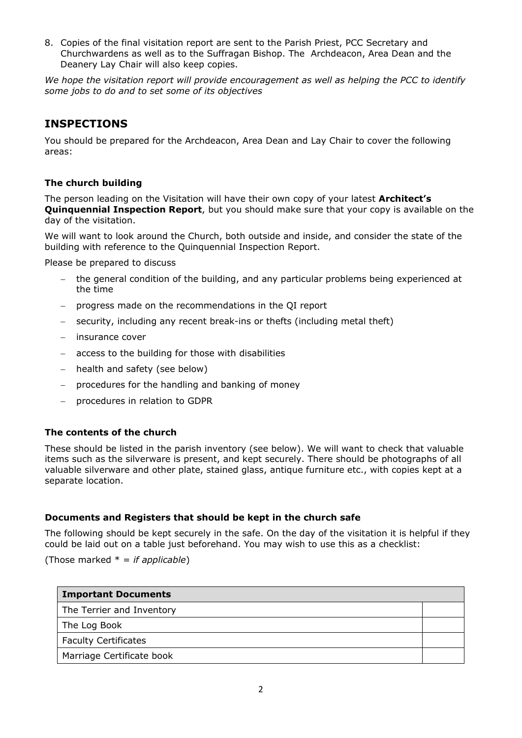8. Copies of the final visitation report are sent to the Parish Priest, PCC Secretary and Churchwardens as well as to the Suffragan Bishop. The Archdeacon, Area Dean and the Deanery Lay Chair will also keep copies.

*We hope the visitation report will provide encouragement as well as helping the PCC to identify some jobs to do and to set some of its objectives*

# **INSPECTIONS**

You should be prepared for the Archdeacon, Area Dean and Lay Chair to cover the following areas:

## **The church building**

The person leading on the Visitation will have their own copy of your latest **Architect's Quinquennial Inspection Report**, but you should make sure that your copy is available on the day of the visitation.

We will want to look around the Church, both outside and inside, and consider the state of the building with reference to the Quinquennial Inspection Report.

Please be prepared to discuss

- the general condition of the building, and any particular problems being experienced at the time
- − progress made on the recommendations in the QI report
- security, including any recent break-ins or thefts (including metal theft)
- − insurance cover
- access to the building for those with disabilities
- health and safety (see below)
- − procedures for the handling and banking of money
- − procedures in relation to GDPR

#### **The contents of the church**

These should be listed in the parish inventory (see below). We will want to check that valuable items such as the silverware is present, and kept securely. There should be photographs of all valuable silverware and other plate, stained glass, antique furniture etc., with copies kept at a separate location.

#### **Documents and Registers that should be kept in the church safe**

The following should be kept securely in the safe. On the day of the visitation it is helpful if they could be laid out on a table just beforehand. You may wish to use this as a checklist:

(Those marked \* = *if applicable*)

| <b>Important Documents</b>  |  |
|-----------------------------|--|
| The Terrier and Inventory   |  |
| The Log Book                |  |
| <b>Faculty Certificates</b> |  |
| Marriage Certificate book   |  |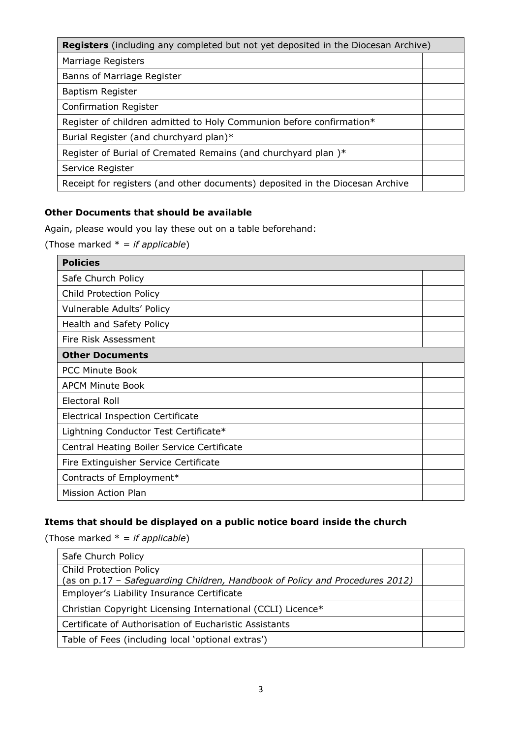| <b>Registers</b> (including any completed but not yet deposited in the Diocesan Archive) |  |
|------------------------------------------------------------------------------------------|--|
| Marriage Registers                                                                       |  |
| Banns of Marriage Register                                                               |  |
| Baptism Register                                                                         |  |
| <b>Confirmation Register</b>                                                             |  |
| Register of children admitted to Holy Communion before confirmation*                     |  |
| Burial Register (and churchyard plan)*                                                   |  |
| Register of Burial of Cremated Remains (and churchyard plan)*                            |  |
| Service Register                                                                         |  |
| Receipt for registers (and other documents) deposited in the Diocesan Archive            |  |

# **Other Documents that should be available**

Again, please would you lay these out on a table beforehand:

(Those marked \* = *if applicable*)

| <b>Policies</b>                            |  |  |
|--------------------------------------------|--|--|
| Safe Church Policy                         |  |  |
| <b>Child Protection Policy</b>             |  |  |
| Vulnerable Adults' Policy                  |  |  |
| Health and Safety Policy                   |  |  |
| Fire Risk Assessment                       |  |  |
| <b>Other Documents</b>                     |  |  |
| <b>PCC Minute Book</b>                     |  |  |
| <b>APCM Minute Book</b>                    |  |  |
| Electoral Roll                             |  |  |
| <b>Electrical Inspection Certificate</b>   |  |  |
| Lightning Conductor Test Certificate*      |  |  |
| Central Heating Boiler Service Certificate |  |  |
| Fire Extinguisher Service Certificate      |  |  |
| Contracts of Employment*                   |  |  |
| Mission Action Plan                        |  |  |

# **Items that should be displayed on a public notice board inside the church**

(Those marked \* = *if applicable*)

| Safe Church Policy                                                                                                         |  |
|----------------------------------------------------------------------------------------------------------------------------|--|
| <b>Child Protection Policy</b>                                                                                             |  |
| (as on p.17 - Safeguarding Children, Handbook of Policy and Procedures 2012)<br>Employer's Liability Insurance Certificate |  |
| Christian Copyright Licensing International (CCLI) Licence*                                                                |  |
| Certificate of Authorisation of Eucharistic Assistants                                                                     |  |
| Table of Fees (including local 'optional extras')                                                                          |  |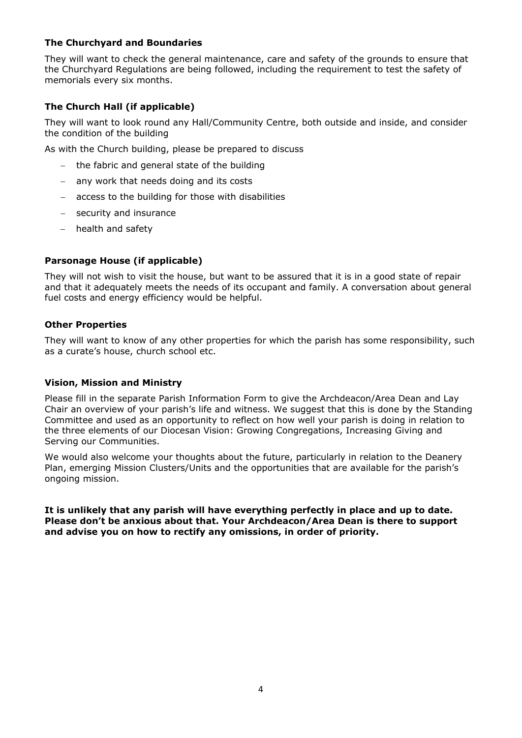# **The Churchyard and Boundaries**

They will want to check the general maintenance, care and safety of the grounds to ensure that the Churchyard Regulations are being followed, including the requirement to test the safety of memorials every six months.

# **The Church Hall (if applicable)**

They will want to look round any Hall/Community Centre, both outside and inside, and consider the condition of the building

As with the Church building, please be prepared to discuss

- the fabric and general state of the building
- any work that needs doing and its costs
- − access to the building for those with disabilities
- security and insurance
- − health and safety

## **Parsonage House (if applicable)**

They will not wish to visit the house, but want to be assured that it is in a good state of repair and that it adequately meets the needs of its occupant and family. A conversation about general fuel costs and energy efficiency would be helpful.

#### **Other Properties**

They will want to know of any other properties for which the parish has some responsibility, such as a curate's house, church school etc.

#### **Vision, Mission and Ministry**

Please fill in the separate Parish Information Form to give the Archdeacon/Area Dean and Lay Chair an overview of your parish's life and witness. We suggest that this is done by the Standing Committee and used as an opportunity to reflect on how well your parish is doing in relation to the three elements of our Diocesan Vision: Growing Congregations, Increasing Giving and Serving our Communities.

We would also welcome your thoughts about the future, particularly in relation to the Deanery Plan, emerging Mission Clusters/Units and the opportunities that are available for the parish's ongoing mission.

**It is unlikely that any parish will have everything perfectly in place and up to date. Please don't be anxious about that. Your Archdeacon/Area Dean is there to support and advise you on how to rectify any omissions, in order of priority.**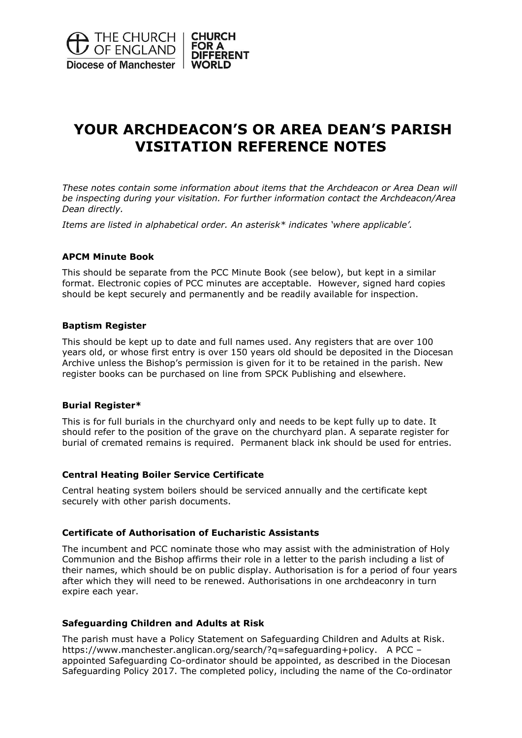

# **YOUR ARCHDEACON'S OR AREA DEAN'S PARISH VISITATION REFERENCE NOTES**

*These notes contain some information about items that the Archdeacon or Area Dean will be inspecting during your visitation. For further information contact the Archdeacon/Area Dean directly.*

*Items are listed in alphabetical order. An asterisk\* indicates 'where applicable'.*

#### **APCM Minute Book**

This should be separate from the PCC Minute Book (see below), but kept in a similar format. Electronic copies of PCC minutes are acceptable. However, signed hard copies should be kept securely and permanently and be readily available for inspection.

#### **Baptism Register**

This should be kept up to date and full names used. Any registers that are over 100 years old, or whose first entry is over 150 years old should be deposited in the Diocesan Archive unless the Bishop's permission is given for it to be retained in the parish. New register books can be purchased on line from SPCK Publishing and elsewhere.

#### **Burial Register\***

This is for full burials in the churchyard only and needs to be kept fully up to date. It should refer to the position of the grave on the churchyard plan. A separate register for burial of cremated remains is required. Permanent black ink should be used for entries.

#### **Central Heating Boiler Service Certificate**

Central heating system boilers should be serviced annually and the certificate kept securely with other parish documents.

#### **Certificate of Authorisation of Eucharistic Assistants**

The incumbent and PCC nominate those who may assist with the administration of Holy Communion and the Bishop affirms their role in a letter to the parish including a list of their names, which should be on public display. Authorisation is for a period of four years after which they will need to be renewed. Authorisations in one archdeaconry in turn expire each year.

#### **Safeguarding Children and Adults at Risk**

The parish must have a Policy Statement on Safeguarding Children and Adults at Risk. https://www.manchester.anglican.org/search/?q=safeguarding+policy. A PCC – appointed Safeguarding Co-ordinator should be appointed, as described in the Diocesan Safeguarding Policy 2017. The completed policy, including the name of the Co-ordinator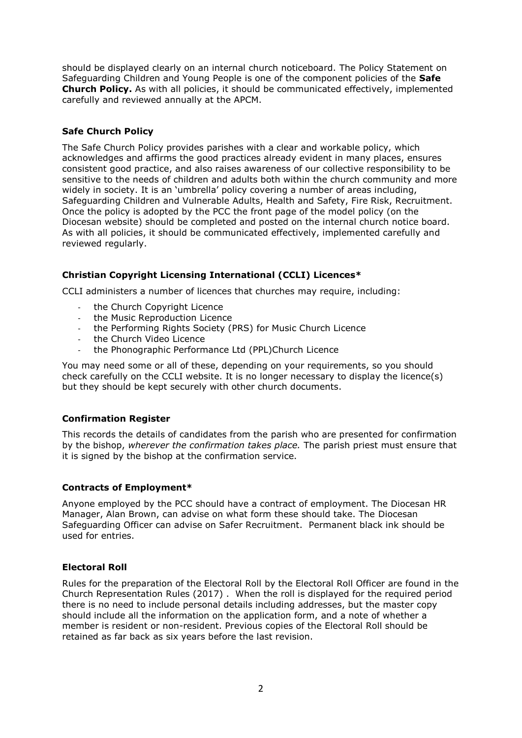should be displayed clearly on an internal church noticeboard. The Policy Statement on Safeguarding Children and Young People is one of the component policies of the **Safe Church Policy.** As with all policies, it should be communicated effectively, implemented carefully and reviewed annually at the APCM.

# **Safe Church Policy**

The Safe Church Policy provides parishes with a clear and workable policy, which acknowledges and affirms the good practices already evident in many places, ensures consistent good practice, and also raises awareness of our collective responsibility to be sensitive to the needs of children and adults both within the church community and more widely in society. It is an 'umbrella' policy covering a number of areas including, Safeguarding Children and Vulnerable Adults, Health and Safety, Fire Risk, Recruitment. Once the policy is adopted by the PCC the front page of the model policy (on the Diocesan website) should be completed and posted on the internal church notice board. As with all policies, it should be communicated effectively, implemented carefully and reviewed regularly.

# **Christian Copyright Licensing International (CCLI) Licences\***

CCLI administers a number of licences that churches may require, including:

- the Church Copyright Licence
- the Music Reproduction Licence
- the Performing Rights Society (PRS) for Music Church Licence
- the Church Video Licence
- the Phonographic Performance Ltd (PPL)Church Licence

You may need some or all of these, depending on your requirements, so you should check carefully on the CCLI website. It is no longer necessary to display the licence(s) but they should be kept securely with other church documents.

## **Confirmation Register**

This records the details of candidates from the parish who are presented for confirmation by the bishop, *wherever the confirmation takes place.* The parish priest must ensure that it is signed by the bishop at the confirmation service.

## **Contracts of Employment\***

Anyone employed by the PCC should have a contract of employment. The Diocesan HR Manager, Alan Brown, can advise on what form these should take. The Diocesan Safeguarding Officer can advise on Safer Recruitment. Permanent black ink should be used for entries.

## **Electoral Roll**

Rules for the preparation of the Electoral Roll by the Electoral Roll Officer are found in the Church Representation Rules (2017) . When the roll is displayed for the required period there is no need to include personal details including addresses, but the master copy should include all the information on the application form, and a note of whether a member is resident or non-resident. Previous copies of the Electoral Roll should be retained as far back as six years before the last revision.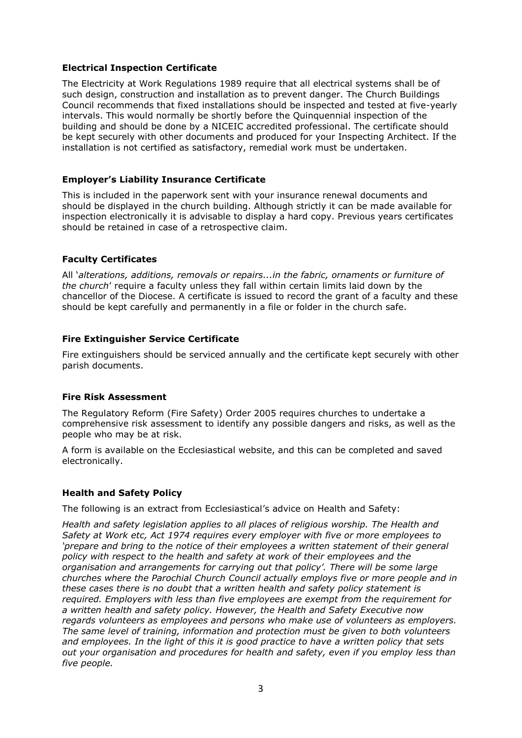#### **Electrical Inspection Certificate**

The Electricity at Work Regulations 1989 require that all electrical systems shall be of such design, construction and installation as to prevent danger. The Church Buildings Council recommends that fixed installations should be inspected and tested at five-yearly intervals. This would normally be shortly before the Quinquennial inspection of the building and should be done by a NICEIC accredited professional. The certificate should be kept securely with other documents and produced for your Inspecting Architect. If the installation is not certified as satisfactory, remedial work must be undertaken.

#### **Employer's Liability Insurance Certificate**

This is included in the paperwork sent with your insurance renewal documents and should be displayed in the church building. Although strictly it can be made available for inspection electronically it is advisable to display a hard copy. Previous years certificates should be retained in case of a retrospective claim.

#### **Faculty Certificates**

All '*alterations, additions, removals or repairs...in the fabric, ornaments or furniture of the church*' require a faculty unless they fall within certain limits laid down by the chancellor of the Diocese. A certificate is issued to record the grant of a faculty and these should be kept carefully and permanently in a file or folder in the church safe.

#### **Fire Extinguisher Service Certificate**

Fire extinguishers should be serviced annually and the certificate kept securely with other parish documents.

#### **Fire Risk Assessment**

The Regulatory Reform (Fire Safety) Order 2005 requires churches to undertake a comprehensive risk assessment to identify any possible dangers and risks, as well as the people who may be at risk.

A form is available on the Ecclesiastical website, and this can be completed and saved electronically.

#### **Health and Safety Policy**

The following is an extract from Ecclesiastical's advice on Health and Safety:

*Health and safety legislation applies to all places of religious worship. The Health and Safety at Work etc, Act 1974 requires every employer with five or more employees to 'prepare and bring to the notice of their employees a written statement of their general policy with respect to the health and safety at work of their employees and the organisation and arrangements for carrying out that policy'. There will be some large churches where the Parochial Church Council actually employs five or more people and in these cases there is no doubt that a written health and safety policy statement is required. Employers with less than five employees are exempt from the requirement for a written health and safety policy. However, the Health and Safety Executive now regards volunteers as employees and persons who make use of volunteers as employers. The same level of training, information and protection must be given to both volunteers and employees. In the light of this it is good practice to have a written policy that sets out your organisation and procedures for health and safety, even if you employ less than five people.*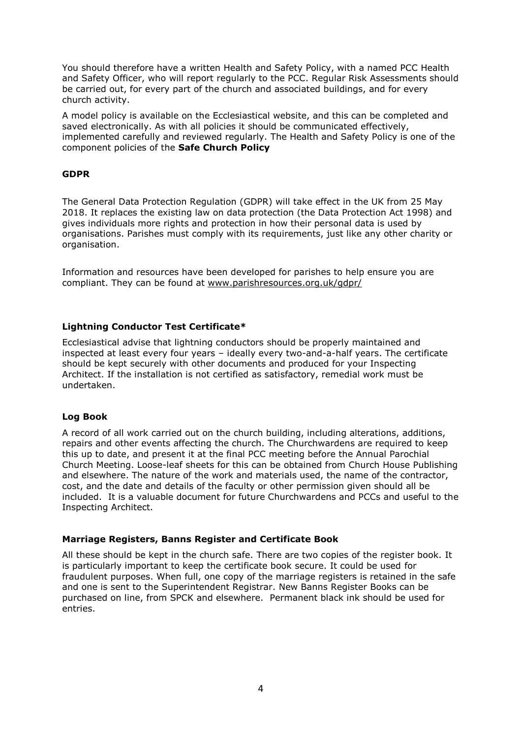You should therefore have a written Health and Safety Policy, with a named PCC Health and Safety Officer, who will report regularly to the PCC. Regular Risk Assessments should be carried out, for every part of the church and associated buildings, and for every church activity.

A model policy is available on the Ecclesiastical website, and this can be completed and saved electronically. As with all policies it should be communicated effectively, implemented carefully and reviewed regularly. The Health and Safety Policy is one of the component policies of the **Safe Church Policy**

# **GDPR**

The General Data Protection Regulation (GDPR) will take effect in the UK from 25 May 2018. It replaces the existing law on data protection (the Data Protection Act 1998) and gives individuals more rights and protection in how their personal data is used by organisations. Parishes must comply with its requirements, just like any other charity or organisation.

Information and resources have been developed for parishes to help ensure you are compliant. They can be found at [www.parishresources.org.uk/gdpr/](http://www.parishresources.org.uk/gdpr/)

## **Lightning Conductor Test Certificate\***

Ecclesiastical advise that lightning conductors should be properly maintained and inspected at least every four years – ideally every two-and-a-half years. The certificate should be kept securely with other documents and produced for your Inspecting Architect. If the installation is not certified as satisfactory, remedial work must be undertaken.

## **Log Book**

A record of all work carried out on the church building, including alterations, additions, repairs and other events affecting the church. The Churchwardens are required to keep this up to date, and present it at the final PCC meeting before the Annual Parochial Church Meeting. Loose-leaf sheets for this can be obtained from Church House Publishing and elsewhere. The nature of the work and materials used, the name of the contractor, cost, and the date and details of the faculty or other permission given should all be included. It is a valuable document for future Churchwardens and PCCs and useful to the Inspecting Architect.

## **Marriage Registers, Banns Register and Certificate Book**

All these should be kept in the church safe. There are two copies of the register book. It is particularly important to keep the certificate book secure. It could be used for fraudulent purposes. When full, one copy of the marriage registers is retained in the safe and one is sent to the Superintendent Registrar. New Banns Register Books can be purchased on line, from SPCK and elsewhere. Permanent black ink should be used for entries.